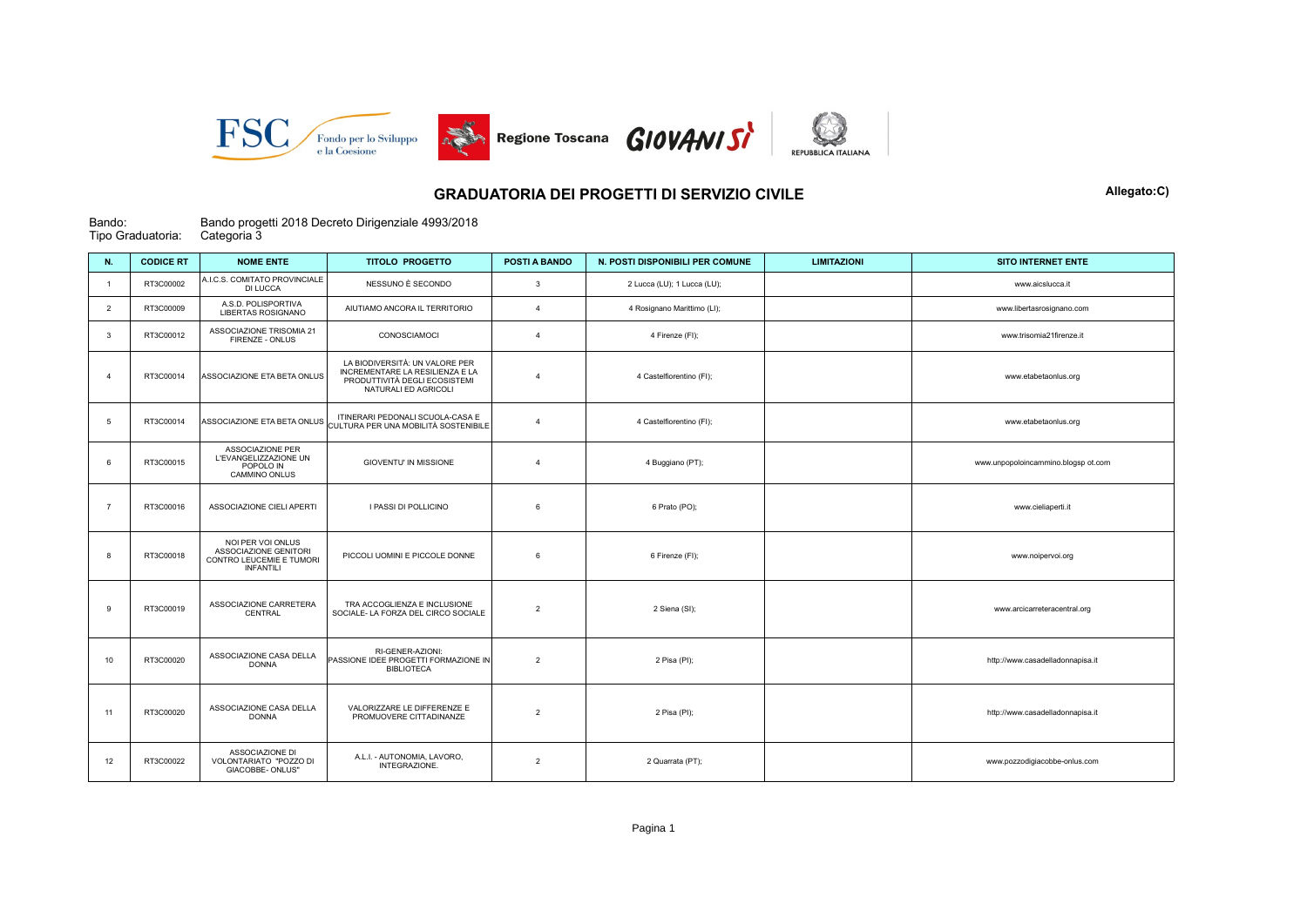

## GRADUATORIA DEI PROGETTI DI SERVIZIO CIVILE **Allegato:C)** Allegato:C)

## Bando: Tipo Graduatoria: Bando progetti 2018 Decreto Dirigenziale 4993/2018 Categoria 3

| N.                      | <b>CODICE RT</b> | <b>NOME ENTE</b>                                                                           | <b>TITOLO PROGETTO</b>                                                                                                     | POSTI A BANDO           | N. POSTI DISPONIBILI PER COMUNE | <b>LIMITAZIONI</b> | <b>SITO INTERNET ENTE</b>           |
|-------------------------|------------------|--------------------------------------------------------------------------------------------|----------------------------------------------------------------------------------------------------------------------------|-------------------------|---------------------------------|--------------------|-------------------------------------|
| $\overline{1}$          | RT3C00002        | A.I.C.S. COMITATO PROVINCIALE<br>DI LUCCA                                                  | NESSUNO È SECONDO                                                                                                          | $\overline{\mathbf{3}}$ | 2 Lucca (LU); 1 Lucca (LU);     |                    | www.aicslucca.it                    |
| 2                       | RT3C00009        | A.S.D. POLISPORTIVA<br>LIBERTAS ROSIGNANO                                                  | AIUTIAMO ANCORA IL TERRITORIO                                                                                              | $\Delta$                | 4 Rosignano Marittimo (LI);     |                    | www.libertasrosignano.com           |
| $\overline{\mathbf{3}}$ | RT3C00012        | ASSOCIAZIONE TRISOMIA 21<br>FIRENZE - ONLUS                                                | CONOSCIAMOCI                                                                                                               | $\overline{4}$          | 4 Firenze (FI);                 |                    | www.trisomia21firenze.it            |
| $\overline{4}$          | RT3C00014        | ASSOCIAZIONE ETA BETA ONLUS                                                                | LA BIODIVERSITÀ: UN VALORE PER<br>INCREMENTARE LA RESILIENZA E LA<br>PRODUTTIVITÀ DEGLI ECOSISTEMI<br>NATURALI ED AGRICOLI | 4                       | 4 Castelfiorentino (FI);        |                    | www.etabetaonlus.org                |
| 5                       | RT3C00014        | ASSOCIAZIONE ETA BETA ONLUS                                                                | ITINERARI PEDONALI SCUOLA-CASA E<br>CULTURA PER UNA MOBILITÀ SOSTENIBILE                                                   | 4                       | 4 Castelfiorentino (FI);        |                    | www.etabetaonlus.org                |
| 6                       | RT3C00015        | ASSOCIAZIONE PER<br>L'EVANGELIZZAZIONE UN<br>POPOLO IN<br>CAMMINO ONLUS                    | <b>GIOVENTU' IN MISSIONE</b>                                                                                               | $\Delta$                | 4 Buggiano (PT);                |                    | www.unpopoloincammino.blogsp ot.com |
| $\overline{7}$          | RT3C00016        | ASSOCIAZIONE CIELI APERTI                                                                  | I PASSI DI POLLICINO                                                                                                       | 6                       | 6 Prato (PO);                   |                    | www.cieliaperti.it                  |
| 8                       | RT3C00018        | NOI PER VOI ONLUS<br>ASSOCIAZIONE GENITORI<br>CONTRO LEUCEMIE E TUMORI<br><b>INFANTILI</b> | PICCOLI UOMINI E PICCOLE DONNE                                                                                             | 6                       | 6 Firenze (FI);                 |                    | www.noipervoi.org                   |
| 9                       | RT3C00019        | ASSOCIAZIONE CARRETERA<br>CENTRAL                                                          | TRA ACCOGLIENZA E INCLUSIONE<br>SOCIALE- LA FORZA DEL CIRCO SOCIALE                                                        | $\overline{2}$          | 2 Siena (SI);                   |                    | www.arcicarreteracentral.org        |
| 10                      | RT3C00020        | ASSOCIAZIONE CASA DELLA<br><b>DONNA</b>                                                    | RI-GENER-AZIONI:<br>PASSIONE IDEE PROGETTI FORMAZIONE IN<br><b>BIBLIOTECA</b>                                              | $\overline{2}$          | 2 Pisa (PI);                    |                    | http://www.casadelladonnapisa.it    |
| 11                      | RT3C00020        | ASSOCIAZIONE CASA DELLA<br><b>DONNA</b>                                                    | VALORIZZARE LE DIFFERENZE E<br>PROMUOVERE CITTADINANZE                                                                     | $\overline{2}$          | 2 Pisa (PI);                    |                    | http://www.casadelladonnapisa.it    |
| 12                      | RT3C00022        | ASSOCIAZIONE DI<br>VOLONTARIATO "POZZO DI<br>GIACOBBE- ONLUS"                              | A.L.I. - AUTONOMIA, LAVORO,<br>INTEGRAZIONE.                                                                               | $\overline{2}$          | 2 Quarrata (PT);                |                    | www.pozzodigiacobbe-onlus.com       |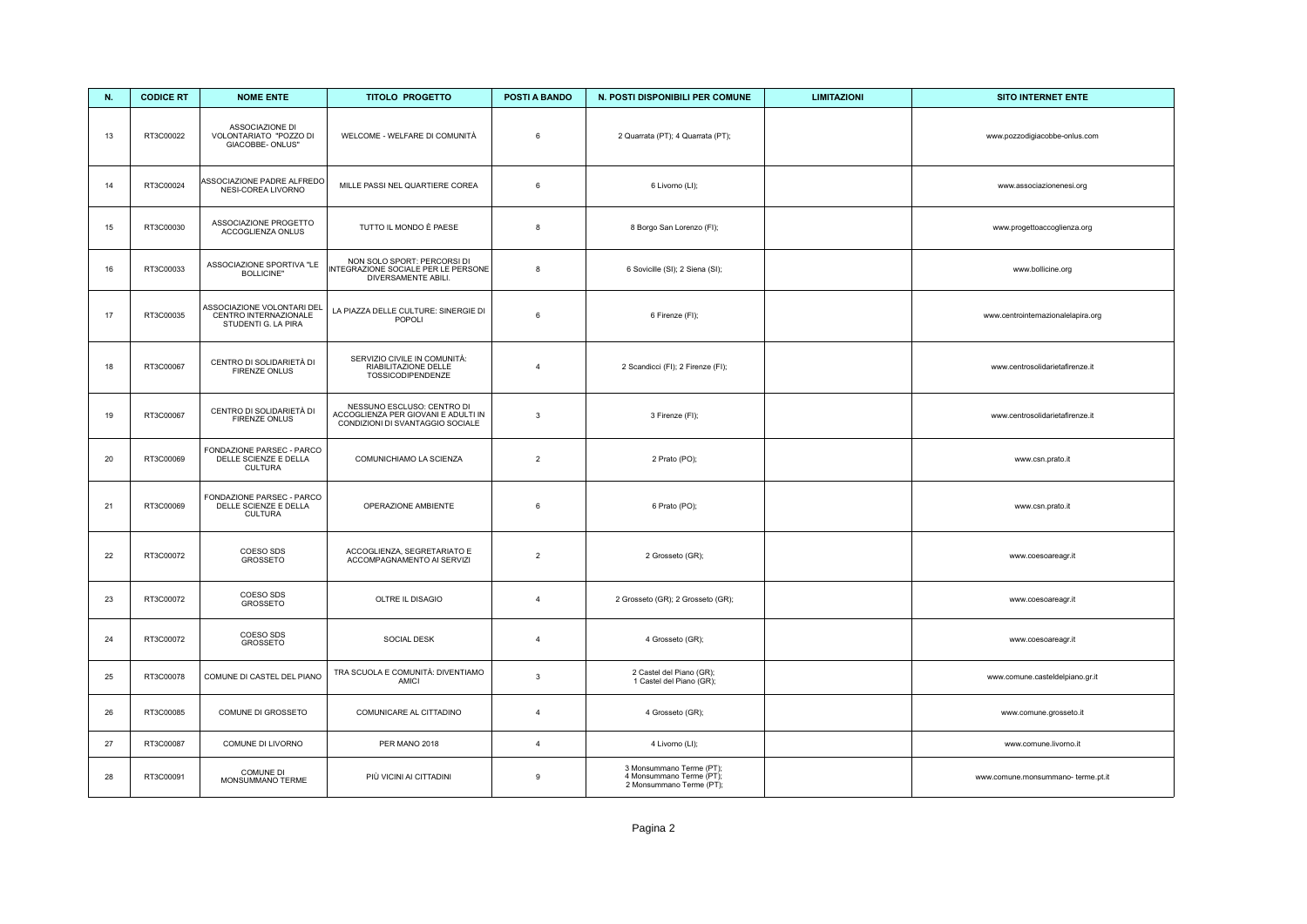| N. | <b>CODICE RT</b> | <b>NOME ENTE</b>                                                           | <b>TITOLO PROGETTO</b>                                                                                | POSTI A BANDO  | N. POSTI DISPONIBILI PER COMUNE                                                  | <b>LIMITAZIONI</b> | <b>SITO INTERNET ENTE</b>          |
|----|------------------|----------------------------------------------------------------------------|-------------------------------------------------------------------------------------------------------|----------------|----------------------------------------------------------------------------------|--------------------|------------------------------------|
| 13 | RT3C00022        | ASSOCIAZIONE DI<br>VOLONTARIATO "POZZO DI<br>GIACOBBE- ONLUS"              | WELCOME - WELFARE DI COMUNITÀ                                                                         | $\,6\,$        | 2 Quarrata (PT); 4 Quarrata (PT);                                                |                    | www.pozzodigiacobbe-onlus.com      |
| 14 | RT3C00024        | ASSOCIAZIONE PADRE ALFREDO<br>NESI-COREA LIVORNO                           | MILLE PASSI NEL QUARTIERE COREA                                                                       | 6              | 6 Livorno (LI);                                                                  |                    | www.associazionenesi.org           |
| 15 | RT3C00030        | ASSOCIAZIONE PROGETTO<br>ACCOGLIENZA ONLUS                                 | TUTTO IL MONDO È PAESE                                                                                | 8              | 8 Borgo San Lorenzo (FI);                                                        |                    | www.progettoaccoglienza.org        |
| 16 | RT3C00033        | ASSOCIAZIONE SPORTIVA "LE<br><b>BOLLICINE"</b>                             | NON SOLO SPORT: PERCORSI DI<br>INTEGRAZIONE SOCIALE PER LE PERSONE<br>DIVERSAMENTE ABILI.             | 8              | 6 Sovicille (SI); 2 Siena (SI);                                                  |                    | www.bollicine.org                  |
| 17 | RT3C00035        | ASSOCIAZIONE VOLONTARI DEL<br>CENTRO INTERNAZIONALE<br>STUDENTI G. LA PIRA | LA PIAZZA DELLE CULTURE: SINERGIE DI<br>POPOLI                                                        | $\,6\,$        | 6 Firenze (FI);                                                                  |                    | www.centrointernazionalelapira.org |
| 18 | RT3C00067        | CENTRO DI SOLIDARIETÀ DI<br>FIRENZE ONLUS                                  | SERVIZIO CIVILE IN COMUNITÀ:<br>RIABILITAZIONE DELLE<br><b>TOSSICODIPENDENZE</b>                      | $\overline{4}$ | 2 Scandicci (FI); 2 Firenze (FI);                                                |                    | www.centrosolidarietafirenze.it    |
| 19 | RT3C00067        | CENTRO DI SOLIDARIETÀ DI<br><b>FIRENZE ONLUS</b>                           | NESSUNO ESCLUSO: CENTRO DI<br>ACCOGLIENZA PER GIOVANI E ADULTI IN<br>CONDIZIONI DI SVANTAGGIO SOCIALE | $\mathbf{3}$   | 3 Firenze (FI);                                                                  |                    | www.centrosolidarietafirenze.it    |
| 20 | RT3C00069        | FONDAZIONE PARSEC - PARCO<br>DELLE SCIENZE E DELLA<br><b>CULTURA</b>       | COMUNICHIAMO LA SCIENZA                                                                               | $\overline{2}$ | 2 Prato (PO);                                                                    |                    | www.csn.prato.it                   |
| 21 | RT3C00069        | FONDAZIONE PARSEC - PARCO<br>DELLE SCIENZE E DELLA<br><b>CULTURA</b>       | OPERAZIONE AMBIENTE                                                                                   | 6              | 6 Prato (PO);                                                                    |                    | www.csn.prato.it                   |
| 22 | RT3C00072        | COESO SDS<br>GROSSETO                                                      | ACCOGLIENZA, SEGRETARIATO E<br>ACCOMPAGNAMENTO AI SERVIZI                                             | $\overline{2}$ | 2 Grosseto (GR);                                                                 |                    | www.coesoareagr.it                 |
| 23 | RT3C00072        | COESO SDS<br>GROSSETO                                                      | OLTRE IL DISAGIO                                                                                      | $\overline{4}$ | 2 Grosseto (GR); 2 Grosseto (GR);                                                |                    | www.coesoareagr.it                 |
| 24 | RT3C00072        | COESO SDS<br>GROSSETO                                                      | SOCIAL DESK                                                                                           | $\overline{4}$ | 4 Grosseto (GR);                                                                 |                    | www.coesoareagr.it                 |
| 25 | RT3C00078        | COMUNE DI CASTEL DEL PIANO                                                 | TRA SCUOLA E COMUNITÀ: DIVENTIAMO<br><b>AMICI</b>                                                     | $\overline{3}$ | 2 Castel del Piano (GR);<br>1 Castel del Piano (GR);                             |                    | www.comune.casteldelpiano.gr.it    |
| 26 | RT3C00085        | COMUNE DI GROSSETO                                                         | COMUNICARE AL CITTADINO                                                                               | $\overline{4}$ | 4 Grosseto (GR);                                                                 |                    | www.comune.grosseto.it             |
| 27 | RT3C00087        | COMUNE DI LIVORNO                                                          | PER MANO 2018                                                                                         | $\overline{4}$ | 4 Livorno (LI);                                                                  |                    | www.comune.livorno.it              |
| 28 | RT3C00091        | COMUNE DI<br>MONSUMMANO TERME                                              | PIÙ VICINI AI CITTADINI                                                                               | 9              | 3 Monsummano Terme (PT);<br>4 Monsummano Terme (PT);<br>2 Monsummano Terme (PT); |                    | www.comune.monsummano- terme.pt.it |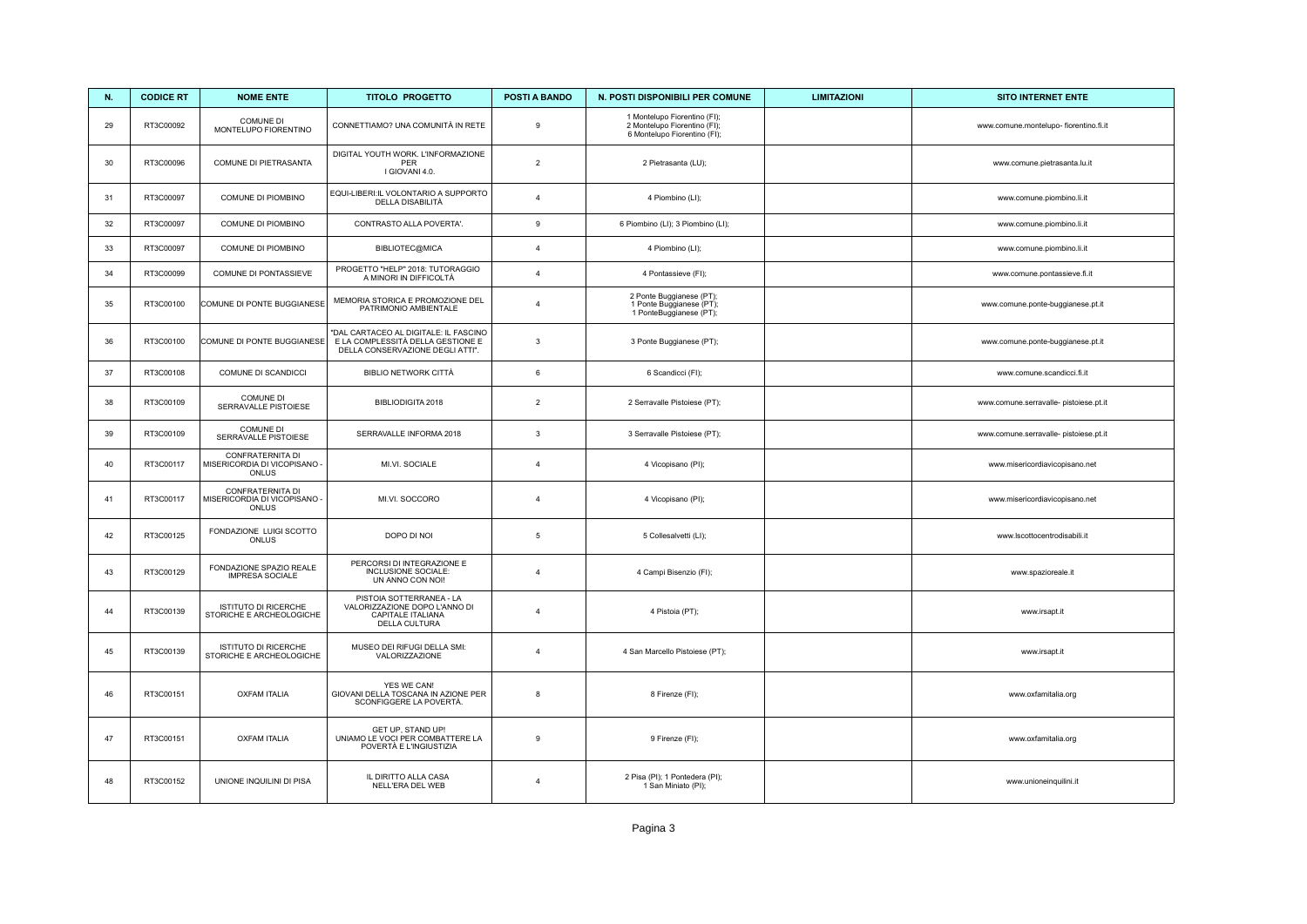| N. | <b>CODICE RT</b> | <b>NOME ENTE</b>                                                 | <b>TITOLO PROGETTO</b>                                                                                         | <b>POSTI A BANDO</b> | N. POSTI DISPONIBILI PER COMUNE                                                              | <b>LIMITAZIONI</b> | <b>SITO INTERNET ENTE</b>              |
|----|------------------|------------------------------------------------------------------|----------------------------------------------------------------------------------------------------------------|----------------------|----------------------------------------------------------------------------------------------|--------------------|----------------------------------------|
| 29 | RT3C00092        | COMUNE DI<br>MONTELUPO FIORENTINO                                | CONNETTIAMO? UNA COMUNITÀ IN RETE                                                                              | $\mathsf g$          | 1 Montelupo Fiorentino (FI);<br>2 Montelupo Fiorentino (FI);<br>6 Montelupo Fiorentino (FI); |                    | www.comune.montelupo- fiorentino.fi.it |
| 30 | RT3C00096        | COMUNE DI PIETRASANTA                                            | DIGITAL YOUTH WORK. L'INFORMAZIONE<br>PER<br>I GIOVANI 4.0.                                                    | $\overline{2}$       | 2 Pietrasanta (LU);                                                                          |                    | www.comune.pietrasanta.lu.it           |
| 31 | RT3C00097        | COMUNE DI PIOMBINO                                               | EQUI-LIBERI:IL VOLONTARIO A SUPPORTO<br>DELLA DISABILITÀ                                                       | $\overline{4}$       | 4 Piombino (LI);                                                                             |                    | www.comune.piombino.li.it              |
| 32 | RT3C00097        | COMUNE DI PIOMBINO                                               | CONTRASTO ALLA POVERTA'.                                                                                       | $\mathsf g$          | 6 Piombino (LI); 3 Piombino (LI);                                                            |                    | www.comune.piombino.li.it              |
| 33 | RT3C00097        | COMUNE DI PIOMBINO                                               | BIBLIOTEC@MICA                                                                                                 | $\overline{4}$       | 4 Piombino (LI);                                                                             |                    | www.comune.piombino.li.it              |
| 34 | RT3C00099        | COMUNE DI PONTASSIEVE                                            | PROGETTO "HELP" 2018: TUTORAGGIO<br>A MINORI IN DIFFICOLTÀ                                                     | $\overline{4}$       | 4 Pontassieve (FI);                                                                          |                    | www.comune.pontassieve.fi.it           |
| 35 | RT3C00100        | COMUNE DI PONTE BUGGIANESE                                       | MEMORIA STORICA E PROMOZIONE DEL<br>PATRIMONIO AMBIENTALE                                                      | $\overline{4}$       | 2 Ponte Buggianese (PT);<br>1 Ponte Buggianese (PT);<br>1 PonteBuggianese (PT);              |                    | www.comune.ponte-buggianese.pt.it      |
| 36 | RT3C00100        | COMUNE DI PONTE BUGGIANESE                                       | "DAL CARTACEO AL DIGITALE: IL FASCINO<br>E LA COMPLESSITÀ DELLA GESTIONE E<br>DELLA CONSERVAZIONE DEGLI ATTI". | 3                    | 3 Ponte Buggianese (PT);                                                                     |                    | www.comune.ponte-buggianese.pt.it      |
| 37 | RT3C00108        | COMUNE DI SCANDICCI                                              | <b>BIBLIO NETWORK CITTÀ</b>                                                                                    | $\,6\,$              | 6 Scandicci (FI);                                                                            |                    | www.comune.scandicci.fi.it             |
| 38 | RT3C00109        | COMUNE DI<br>SERRAVALLE PISTOIESE                                | BIBLIODIGITA 2018                                                                                              | $\overline{2}$       | 2 Serravalle Pistoiese (PT);                                                                 |                    | www.comune.serravalle- pistoiese.pt.it |
| 39 | RT3C00109        | <b>COMUNE DI</b><br>SERRAVALLE PISTOIESE                         | SERRAVALLE INFORMA 2018                                                                                        | $\mathbf{3}$         | 3 Serravalle Pistoiese (PT);                                                                 |                    | www.comune.serravalle- pistoiese.pt.it |
| 40 | RT3C00117        | <b>CONFRATERNITA DI</b><br>MISERICORDIA DI VICOPISANO -<br>ONLUS | MI.VI. SOCIALE                                                                                                 | $\overline{4}$       | 4 Vicopisano (PI);                                                                           |                    | www.misericordiavicopisano.net         |
| 41 | RT3C00117        | <b>CONFRATERNITA DI</b><br>MISERICORDIA DI VICOPISANO -<br>ONLUS | MI.VI. SOCCORO                                                                                                 | $\overline{4}$       | 4 Vicopisano (PI);                                                                           |                    | www.misericordiavicopisano.net         |
| 42 | RT3C00125        | FONDAZIONE LUIGI SCOTTO<br>ONLUS                                 | DOPO DI NOI                                                                                                    | $\,$ 5 $\,$          | 5 Collesalvetti (LI);                                                                        |                    | www.lscottocentrodisabili.it           |
| 43 | RT3C00129        | FONDAZIONE SPAZIO REALE<br><b>IMPRESA SOCIALE</b>                | PERCORSI DI INTEGRAZIONE E<br>INCLUSIONE SOCIALE:<br>UN ANNO CON NOI!                                          | $\overline{4}$       | 4 Campi Bisenzio (FI);                                                                       |                    | www.spazioreale.it                     |
| 44 | RT3C00139        | <b>ISTITUTO DI RICERCHE</b><br>STORICHE E ARCHEOLOGICHE          | PISTOIA SOTTERRANEA - LA<br>VALORIZZAZIONE DOPO L'ANNO DI<br>CAPITALE ITALIANA<br>DELLA CULTURA                | $\overline{4}$       | 4 Pistoia (PT);                                                                              |                    | www.irsapt.it                          |
| 45 | RT3C00139        | ISTITUTO DI RICERCHE<br>STORICHE E ARCHEOLOGICHE                 | MUSEO DEI RIFUGI DELLA SMI:<br>VALORIZZAZIONE                                                                  | $\overline{4}$       | 4 San Marcello Pistoiese (PT);                                                               |                    | www.irsapt.it                          |
| 46 | RT3C00151        | <b>OXFAM ITALIA</b>                                              | YES WE CAN!<br>GIOVANI DELLA TOSCANA IN AZIONE PER<br>SCONFIGGERE LA POVERTÀ.                                  | 8                    | 8 Firenze (FI);                                                                              |                    | www.oxfamitalia.org                    |
| 47 | RT3C00151        | <b>OXFAM ITALIA</b>                                              | GET UP, STAND UP!<br>UNIAMO LE VOCI PER COMBATTERE LA<br>POVERTÀ E L'INGIUSTIZIA                               | $\boldsymbol{9}$     | 9 Firenze (FI);                                                                              |                    | www.oxfamitalia.org                    |
| 48 | RT3C00152        | UNIONE INQUILINI DI PISA                                         | IL DIRITTO ALLA CASA<br>NELL'ERA DEL WEB                                                                       | $\overline{4}$       | 2 Pisa (PI); 1 Pontedera (PI);<br>1 San Miniato (PI);                                        |                    | www.unioneinquilini.it                 |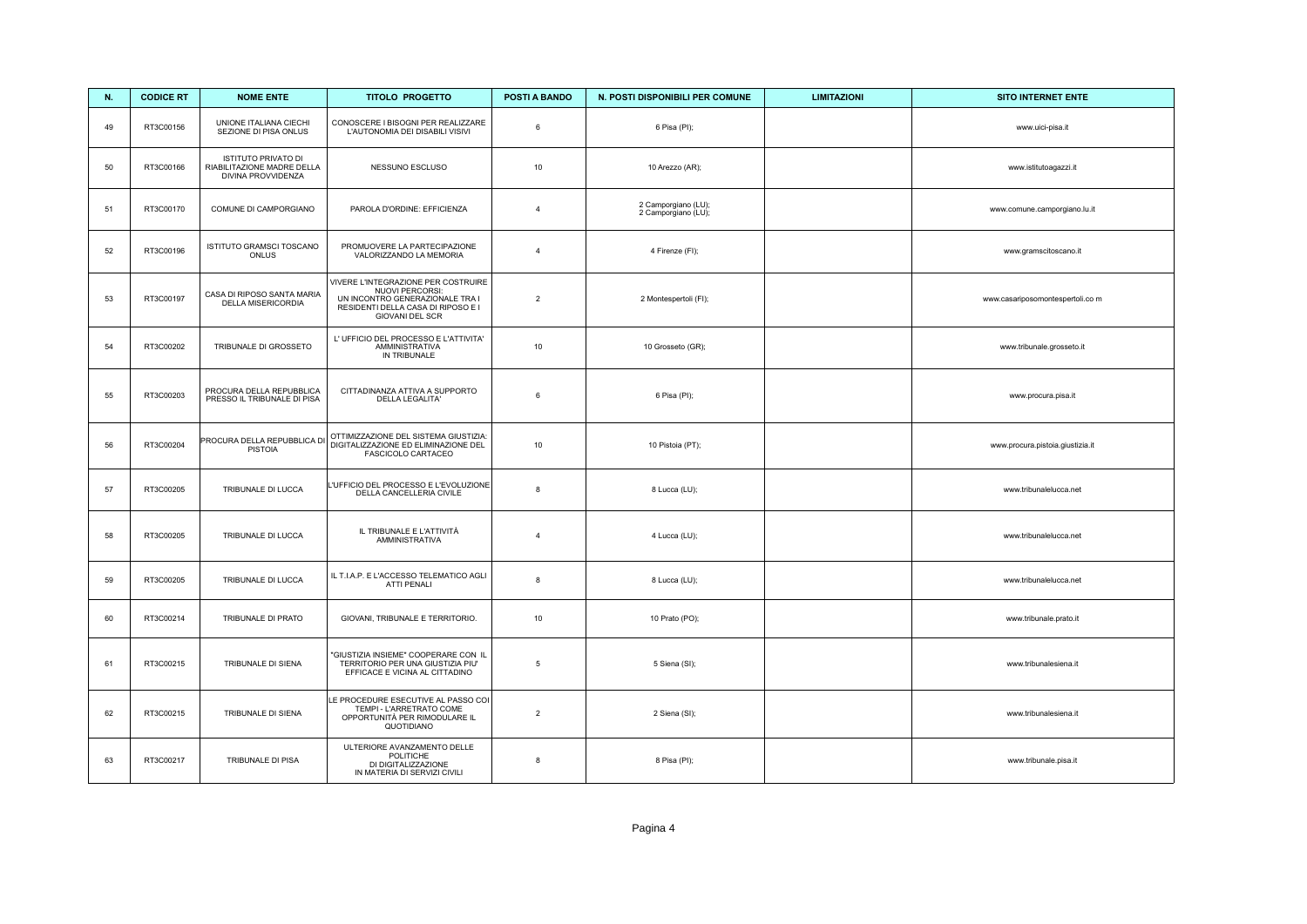| N. | <b>CODICE RT</b> | <b>NOME ENTE</b>                                                        | <b>TITOLO PROGETTO</b>                                                                                                                                    | POSTI A BANDO   | N. POSTI DISPONIBILI PER COMUNE            | <b>LIMITAZIONI</b> | <b>SITO INTERNET ENTE</b>        |
|----|------------------|-------------------------------------------------------------------------|-----------------------------------------------------------------------------------------------------------------------------------------------------------|-----------------|--------------------------------------------|--------------------|----------------------------------|
| 49 | RT3C00156        | UNIONE ITALIANA CIECHI<br>SEZIONE DI PISA ONLUS                         | CONOSCERE I BISOGNI PER REALIZZARE<br>L'AUTONOMIA DEI DISABILI VISIVI                                                                                     | $\,6\,$         | 6 Pisa (PI);                               |                    | www.uici-pisa.it                 |
| 50 | RT3C00166        | ISTITUTO PRIVATO DI<br>RIABILITAZIONE MADRE DELLA<br>DIVINA PROVVIDENZA | NESSUNO ESCLUSO                                                                                                                                           | 10              | 10 Arezzo (AR);                            |                    | www.istitutoagazzi.it            |
| 51 | RT3C00170        | COMUNE DI CAMPORGIANO                                                   | PAROLA D'ORDINE: EFFICIENZA                                                                                                                               | $\overline{4}$  | 2 Camporgiano (LU);<br>2 Camporgiano (LU); |                    | www.comune.camporgiano.lu.it     |
| 52 | RT3C00196        | ISTITUTO GRAMSCI TOSCANO<br>ONLUS                                       | PROMUOVERE LA PARTECIPAZIONE<br>VALORIZZANDO LA MEMORIA                                                                                                   | $\overline{4}$  | 4 Firenze (FI);                            |                    | www.gramscitoscano.it            |
| 53 | RT3C00197        | CASA DI RIPOSO SANTA MARIA<br>DELLA MISERICORDIA                        | VIVERE L'INTEGRAZIONE PER COSTRUIRE<br><b>NUOVI PERCORSI:</b><br>UN INCONTRO GENERAZIONALE TRA I<br>RESIDENTI DELLA CASA DI RIPOSO E I<br>GIOVANI DEL SCR | $\overline{2}$  | 2 Montespertoli (FI);                      |                    | www.casariposomontespertoli.co m |
| 54 | RT3C00202        | TRIBUNALE DI GROSSETO                                                   | L'UFFICIO DEL PROCESSO E L'ATTIVITA'<br>AMMINISTRATIVA<br>IN TRIBUNALE                                                                                    | 10              | 10 Grosseto (GR);                          |                    | www.tribunale.grosseto.it        |
| 55 | RT3C00203        | PROCURA DELLA REPUBBLICA<br>PRESSO IL TRIBUNALE DI PISA                 | CITTADINANZA ATTIVA A SUPPORTO<br>DELLA LEGALITA'                                                                                                         | 6               | 6 Pisa (PI);                               |                    | www.procura.pisa.it              |
| 56 | RT3C00204        | PROCURA DELLA REPUBBLICA DI<br><b>PISTOIA</b>                           | OTTIMIZZAZIONE DEL SISTEMA GIUSTIZIA:<br>DIGITALIZZAZIONE ED ELIMINAZIONE DEL<br>FASCICOLO CARTACEO                                                       | 10              | 10 Pistoia (PT);                           |                    | www.procura.pistoia.giustizia.it |
| 57 | RT3C00205        | TRIBUNALE DI LUCCA                                                      | L'UFFICIO DEL PROCESSO E L'EVOLUZIONE<br>DELLA CANCELLERIA CIVILE                                                                                         | 8               | 8 Lucca (LU);                              |                    | www.tribunalelucca.net           |
| 58 | RT3C00205        | TRIBUNALE DI LUCCA                                                      | IL TRIBUNALE E L'ATTIVITÀ<br><b>AMMINISTRATIVA</b>                                                                                                        | $\overline{4}$  | 4 Lucca (LU);                              |                    | www.tribunalelucca.net           |
| 59 | RT3C00205        | TRIBUNALE DI LUCCA                                                      | IL T.I.A.P. E L'ACCESSO TELEMATICO AGLI<br><b>ATTI PENALI</b>                                                                                             | 8               | 8 Lucca (LU);                              |                    | www.tribunalelucca.net           |
| 60 | RT3C00214        | TRIBUNALE DI PRATO                                                      | GIOVANI, TRIBUNALE E TERRITORIO.                                                                                                                          | 10              | 10 Prato (PO);                             |                    | www.tribunale.prato.it           |
| 61 | RT3C00215        | TRIBUNALE DI SIENA                                                      | "GIUSTIZIA INSIEME" COOPERARE CON IL<br>TERRITORIO PER UNA GIUSTIZIA PIU'<br>EFFICACE E VICINA AL CITTADINO                                               | $5\phantom{.0}$ | 5 Siena (SI);                              |                    | www.tribunalesiena.it            |
| 62 | RT3C00215        | TRIBUNALE DI SIENA                                                      | LE PROCEDURE ESECUTIVE AL PASSO COI<br>TEMPI - L'ARRETRATO COME<br>OPPORTUNITÀ PER RIMODULARE IL<br>QUOTIDIANO                                            | $\overline{2}$  | 2 Siena (SI);                              |                    | www.tribunalesiena.it            |
| 63 | RT3C00217        | TRIBUNALE DI PISA                                                       | ULTERIORE AVANZAMENTO DELLE<br>POLITICHE<br>DI DIGITALIZZAZIONE<br>IN MATERIA DI SERVIZI CIVILI                                                           | 8               | 8 Pisa (PI);                               |                    | www.tribunale.pisa.it            |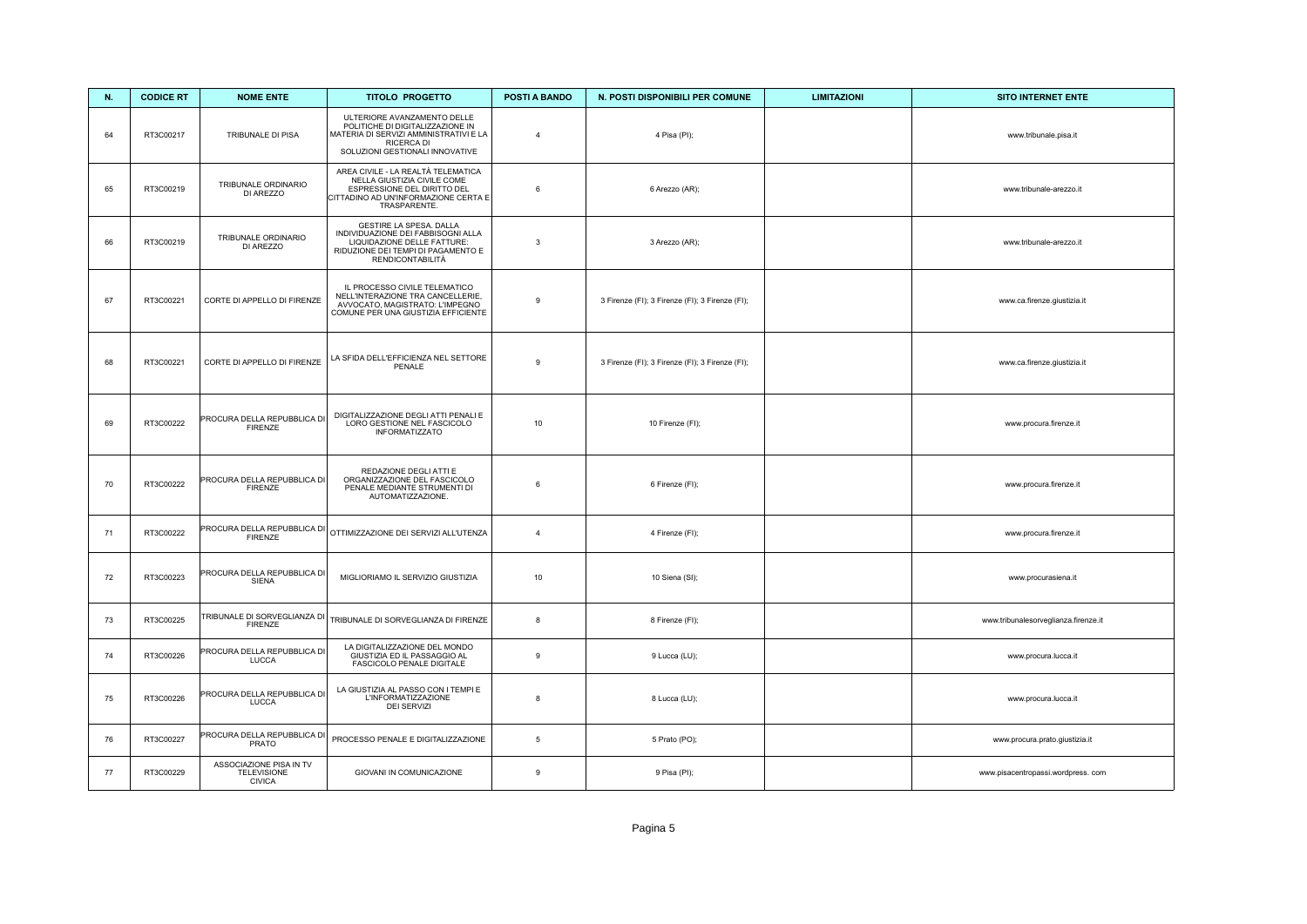| N.     | <b>CODICE RT</b> | <b>NOME ENTE</b>                                               | <b>TITOLO PROGETTO</b>                                                                                                                                        | <b>POSTI A BANDO</b> | N. POSTI DISPONIBILI PER COMUNE                 | <b>LIMITAZIONI</b> | <b>SITO INTERNET ENTE</b>            |
|--------|------------------|----------------------------------------------------------------|---------------------------------------------------------------------------------------------------------------------------------------------------------------|----------------------|-------------------------------------------------|--------------------|--------------------------------------|
| 64     | RT3C00217        | TRIBUNALE DI PISA                                              | ULTERIORE AVANZAMENTO DELLE<br>POLITICHE DI DIGITALIZZAZIONE IN<br>MATERIA DI SERVIZI AMMINISTRATIVI E LA<br>RICERCA DI<br>SOLUZIONI GESTIONALI INNOVATIVE    | $\overline{4}$       | 4 Pisa (PI);                                    |                    | www.tribunale.pisa.it                |
| 65     | RT3C00219        | TRIBUNALE ORDINARIO<br>DI AREZZO                               | AREA CIVILE - LA REALTÀ TELEMATICA<br>NELLA GIUSTIZIA CIVILE COME<br>ESPRESSIONE DEL DIRITTO DEL<br>CITTADINO AD UN'INFORMAZIONE CERTA E<br>TRASPARENTE.      | 6                    | 6 Arezzo (AR);                                  |                    | www.tribunale-arezzo.it              |
| 66     | RT3C00219        | TRIBUNALE ORDINARIO<br>DI AREZZO                               | GESTIRE LA SPESA. DALLA<br>INDIVIDUAZIONE DEI FABBISOGNI ALLA<br>LIQUIDAZIONE DELLE FATTURE:<br>RIDUZIONE DEI TEMPI DI PAGAMENTO E<br><b>RENDICONTABILITÀ</b> | 3                    | 3 Arezzo (AR);                                  |                    | www.tribunale-arezzo.it              |
| 67     | RT3C00221        | CORTE DI APPELLO DI FIRENZE                                    | IL PROCESSO CIVILE TELEMATICO<br>NELL'INTERAZIONE TRA CANCELLERIE,<br>AVVOCATO, MAGISTRATO: L'IMPEGNO<br>COMUNE PER UNA GIUSTIZIA EFFICIENTE                  | 9                    | 3 Firenze (FI); 3 Firenze (FI); 3 Firenze (FI); |                    | www.ca.firenze.giustizia.it          |
| 68     | RT3C00221        | CORTE DI APPELLO DI FIRENZE                                    | LA SFIDA DELL'EFFICIENZA NEL SETTORE<br>PENALE                                                                                                                | 9                    | 3 Firenze (FI); 3 Firenze (FI); 3 Firenze (FI); |                    | www.ca.firenze.giustizia.it          |
| 69     | RT3C00222        | PROCURA DELLA REPUBBLICA DI<br><b>FIRENZE</b>                  | DIGITALIZZAZIONE DEGLI ATTI PENALI E<br>LORO GESTIONE NEL FASCICOLO<br><b>INFORMATIZZATO</b>                                                                  | 10                   | 10 Firenze (FI);                                |                    | www.procura.firenze.it               |
| 70     | RT3C00222        | PROCURA DELLA REPUBBLICA DI<br><b>FIRENZE</b>                  | REDAZIONE DEGLI ATTI E<br>ORGANIZZAZIONE DEL FASCICOLO<br>PENALE MEDIANTE STRUMENTI DI<br>AUTOMATIZZAZIONE.                                                   | 6                    | 6 Firenze (FI);                                 |                    | www.procura.firenze.it               |
| 71     | RT3C00222        | PROCURA DELLA REPUBBLICA DI<br><b>FIRENZE</b>                  | OTTIMIZZAZIONE DEI SERVIZI ALL'UTENZA                                                                                                                         | $\overline{4}$       | 4 Firenze (FI);                                 |                    | www.procura.firenze.it               |
| $72\,$ | RT3C00223        | PROCURA DELLA REPUBBLICA DI<br>SIENA                           | MIGLIORIAMO IL SERVIZIO GIUSTIZIA                                                                                                                             | 10                   | 10 Siena (SI);                                  |                    | www.procurasiena.it                  |
| 73     | RT3C00225        | TRIBUNALE DI SORVEGLIANZA DI<br><b>FIRENZE</b>                 | TRIBUNALE DI SORVEGLIANZA DI FIRENZE                                                                                                                          | 8                    | 8 Firenze (FI);                                 |                    | www.tribunalesorveglianza.firenze.it |
| 74     | RT3C00226        | PROCURA DELLA REPUBBLICA DI<br>LUCCA                           | LA DIGITALIZZAZIONE DEL MONDO<br>GIUSTIZIA ED IL PASSAGGIO AL<br>FASCICOLO PENALE DIGITALE                                                                    | 9                    | 9 Lucca (LU);                                   |                    | www.procura.lucca.it                 |
| 75     | RT3C00226        | PROCURA DELLA REPUBBLICA DI<br>LUCCA                           | LA GIUSTIZIA AL PASSO CON I TEMPI E<br>L'INFORMATIZZAZIONE<br><b>DEI SERVIZI</b>                                                                              | 8                    | 8 Lucca (LU);                                   |                    | www.procura.lucca.it                 |
| 76     | RT3C00227        | PROCURA DELLA REPUBBLICA DI<br>PRATO                           | PROCESSO PENALE E DIGITALIZZAZIONE                                                                                                                            | $5\phantom{.0}$      | 5 Prato (PO);                                   |                    | www.procura.prato.giustizia.it       |
| 77     | RT3C00229        | ASSOCIAZIONE PISA IN TV<br><b>TELEVISIONE</b><br><b>CIVICA</b> | GIOVANI IN COMUNICAZIONE                                                                                                                                      | $\boldsymbol{9}$     | 9 Pisa (PI);                                    |                    | www.pisacentropassi.wordpress.com    |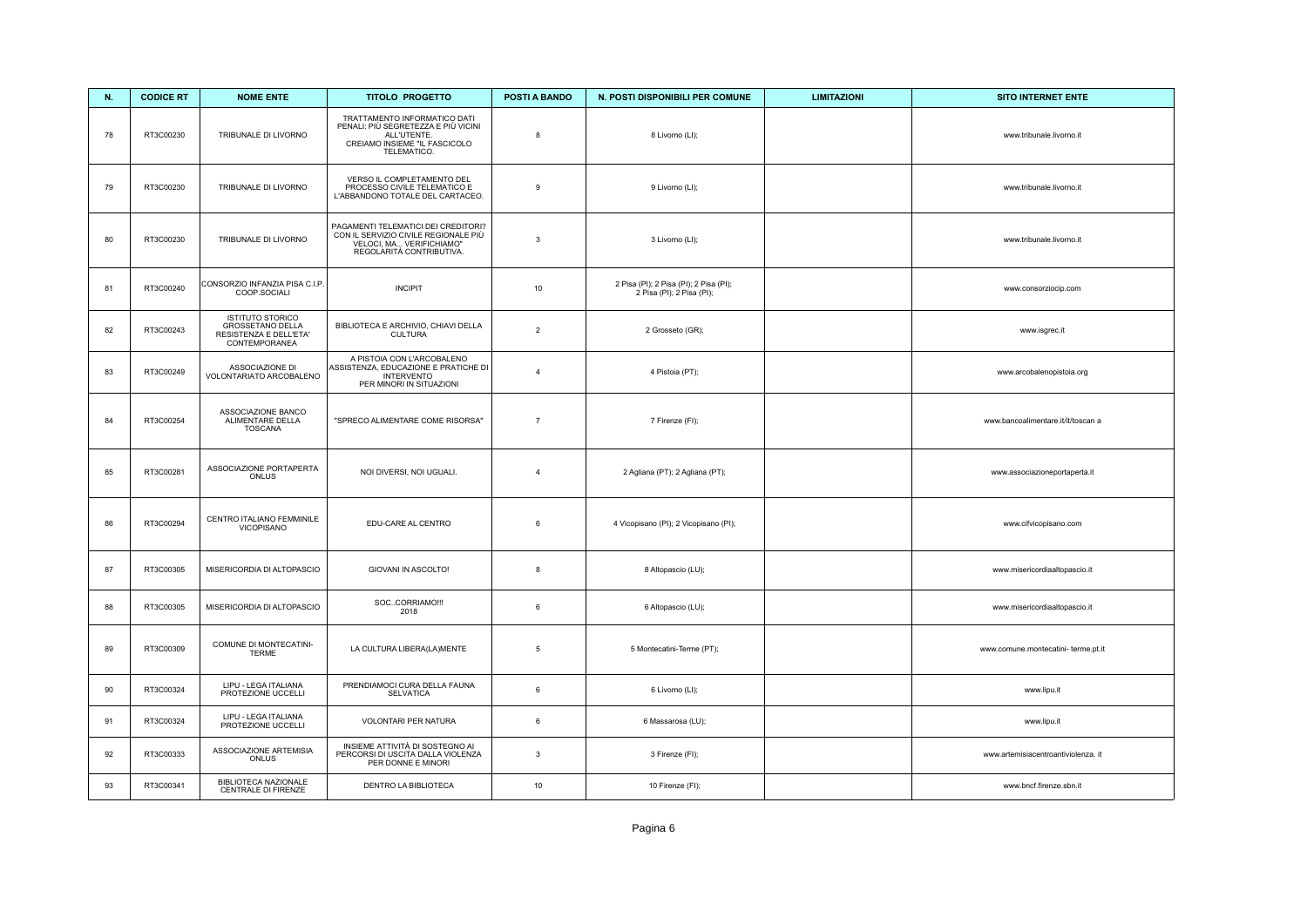| N. | <b>CODICE RT</b> | <b>NOME ENTE</b>                                                                              | <b>TITOLO PROGETTO</b>                                                                                                              | <b>POSTI A BANDO</b> | N. POSTI DISPONIBILI PER COMUNE                                     | <b>LIMITAZIONI</b> | <b>SITO INTERNET ENTE</b>           |
|----|------------------|-----------------------------------------------------------------------------------------------|-------------------------------------------------------------------------------------------------------------------------------------|----------------------|---------------------------------------------------------------------|--------------------|-------------------------------------|
| 78 | RT3C00230        | TRIBUNALE DI LIVORNO                                                                          | TRATTAMENTO INFORMATICO DATI<br>PENALI: PIÙ SEGRETEZZA E PIÙ VICINI<br>ALL'UTENTE.<br>CREIAMO INSIEME "IL FASCICOLO<br>TELEMATICO.  | 8                    | 8 Livorno (LI);                                                     |                    | www.tribunale.livorno.it            |
| 79 | RT3C00230        | TRIBUNALE DI LIVORNO                                                                          | VERSO IL COMPLETAMENTO DEL<br>PROCESSO CIVILE TELEMATICO E<br>L'ABBANDONO TOTALE DEL CARTACEO.                                      | 9                    | 9 Livorno (LI);                                                     |                    | www.tribunale.livorno.it            |
| 80 | RT3C00230        | TRIBUNALE DI LIVORNO                                                                          | PAGAMENTI TELEMATICI DEI CREDITORI?<br>CON IL SERVIZIO CIVILE REGIONALE PIÙ<br>VELOCI, MA VERIFICHIAMO"<br>REGOLARITÀ CONTRIBUTIVA. | $\mathbf{3}$         | 3 Livorno (LI);                                                     |                    | www.tribunale.livorno.it            |
| 81 | RT3C00240        | CONSORZIO INFANZIA PISA C.I.P.<br>COOP.SOCIALI                                                | <b>INCIPIT</b>                                                                                                                      | 10                   | 2 Pisa (PI); 2 Pisa (PI); 2 Pisa (PI);<br>2 Pisa (PI); 2 Pisa (PI); |                    | www.consorziocip.com                |
| 82 | RT3C00243        | <b>ISTITUTO STORICO</b><br><b>GROSSETANO DELLA</b><br>RESISTENZA E DELL'ETA'<br>CONTEMPORANEA | BIBLIOTECA E ARCHIVIO, CHIAVI DELLA<br><b>CULTURA</b>                                                                               | $\overline{2}$       | 2 Grosseto (GR);                                                    |                    | www.isgrec.it                       |
| 83 | RT3C00249        | ASSOCIAZIONE DI<br>VOLONTARIATO ARCOBALENO                                                    | A PISTOIA CON L'ARCOBALENO<br>ASSISTENZA, EDUCAZIONE E PRATICHE DI<br><b>INTERVENTO</b><br>PER MINORI IN SITUAZIONI                 | $\overline{4}$       | 4 Pistoia (PT);                                                     |                    | www.arcobalenopistoia.org           |
| 84 | RT3C00254        | ASSOCIAZIONE BANCO<br>ALIMENTARE DELLA<br><b>TOSCANA</b>                                      | "SPRECO ALIMENTARE COME RISORSA"                                                                                                    | $\overline{7}$       | 7 Firenze (FI);                                                     |                    | www.bancoalimentare.it/it/toscan a  |
| 85 | RT3C00281        | ASSOCIAZIONE PORTAPERTA<br>ONLUS                                                              | NOI DIVERSI, NOI UGUALI.                                                                                                            | $\overline{4}$       | 2 Agliana (PT); 2 Agliana (PT);                                     |                    | www.associazioneportaperta.it       |
| 86 | RT3C00294        | CENTRO ITALIANO FEMMINILE<br><b>VICOPISANO</b>                                                | EDU-CARE AL CENTRO                                                                                                                  | 6                    | 4 Vicopisano (PI); 2 Vicopisano (PI);                               |                    | www.cifvicopisano.com               |
| 87 | RT3C00305        | MISERICORDIA DI ALTOPASCIO                                                                    | GIOVANI IN ASCOLTO!                                                                                                                 | 8                    | 8 Altopascio (LU);                                                  |                    | www.misericordiaaltopascio.it       |
| 88 | RT3C00305        | MISERICORDIA DI ALTOPASCIO                                                                    | SOCCORRIAMO !!!<br>2018                                                                                                             | 6                    | 6 Altopascio (LU);                                                  |                    | www.misericordiaaltopascio.it       |
| 89 | RT3C00309        | COMUNE DI MONTECATINI-<br><b>TERME</b>                                                        | LA CULTURA LIBERA(LA)MENTE                                                                                                          | $\,$ 5 $\,$          | 5 Montecatini-Terme (PT);                                           |                    | www.comune.montecatini- terme.pt.it |
| 90 | RT3C00324        | LIPU - LEGA ITALIANA<br>PROTEZIONE UCCELLI                                                    | PRENDIAMOCI CURA DELLA FAUNA<br><b>SELVATICA</b>                                                                                    | $\,6\,$              | 6 Livorno (LI);                                                     |                    | www.lipu.it                         |
| 91 | RT3C00324        | LIPU - LEGA ITALIANA<br>PROTEZIONE UCCELLI                                                    | VOLONTARI PER NATURA                                                                                                                | $6\phantom{.}6$      | 6 Massarosa (LU);                                                   |                    | www.lipu.it                         |
| 92 | RT3C00333        | ASSOCIAZIONE ARTEMISIA<br>ONLUS                                                               | INSIEME ATTIVITÀ DI SOSTEGNO AI<br>PERCORSI DI USCITA DALLA VIOLENZA<br>PER DONNE E MINORI                                          | $\mathbf{3}$         | 3 Firenze (FI);                                                     |                    | www.artemisiacentroantiviolenza. it |
| 93 | RT3C00341        | BIBLIOTECA NAZIONALE<br>CENTRALE DI FIRENZE                                                   | DENTRO LA BIBLIOTECA                                                                                                                | 10                   | 10 Firenze (FI);                                                    |                    | www.bncf.firenze.sbn.it             |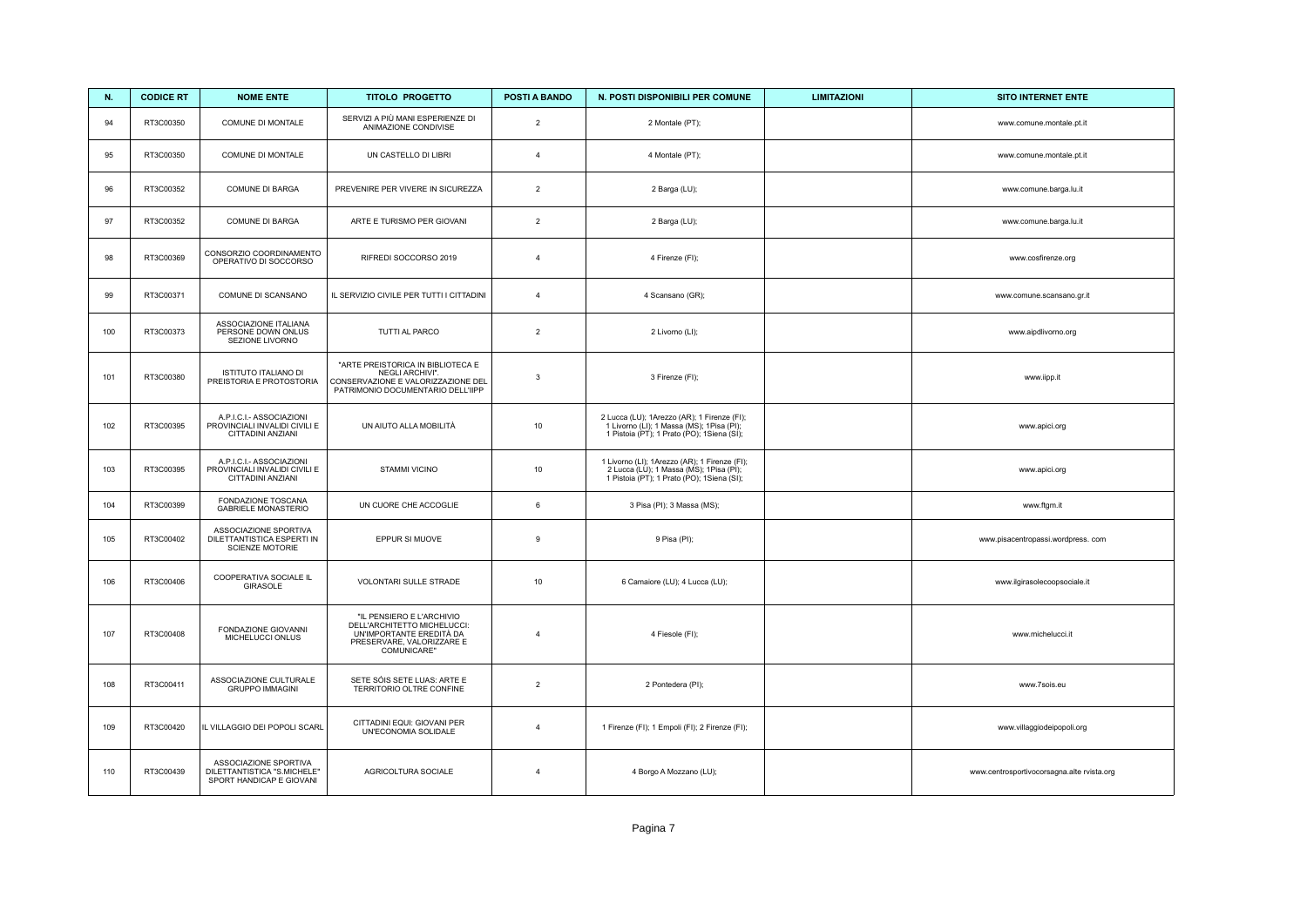| N.  | <b>CODICE RT</b> | <b>NOME ENTE</b>                                                                 | <b>TITOLO PROGETTO</b>                                                                                                           | <b>POSTI A BANDO</b> | N. POSTI DISPONIBILI PER COMUNE                                                                                                         | <b>LIMITAZIONI</b> | <b>SITO INTERNET ENTE</b>                  |
|-----|------------------|----------------------------------------------------------------------------------|----------------------------------------------------------------------------------------------------------------------------------|----------------------|-----------------------------------------------------------------------------------------------------------------------------------------|--------------------|--------------------------------------------|
| 94  | RT3C00350        | COMUNE DI MONTALE                                                                | SERVIZI A PIÙ MANI ESPERIENZE DI<br>ANIMAZIONE CONDIVISE                                                                         | $\overline{2}$       | 2 Montale (PT);                                                                                                                         |                    | www.comune.montale.pt.it                   |
| 95  | RT3C00350        | COMUNE DI MONTALE                                                                | UN CASTELLO DI LIBRI                                                                                                             | $\overline{4}$       | 4 Montale (PT);                                                                                                                         |                    | www.comune.montale.pt.it                   |
| 96  | RT3C00352        | COMUNE DI BARGA                                                                  | PREVENIRE PER VIVERE IN SICUREZZA                                                                                                | $\overline{2}$       | 2 Barga (LU);                                                                                                                           |                    | www.comune.barga.lu.it                     |
| 97  | RT3C00352        | <b>COMUNE DI BARGA</b>                                                           | ARTE E TURISMO PER GIOVANI                                                                                                       | 2                    | 2 Barga (LU);                                                                                                                           |                    | www.comune.barga.lu.it                     |
| 98  | RT3C00369        | CONSORZIO COORDINAMENTO<br>OPERATIVO DI SOCCORSO                                 | RIFREDI SOCCORSO 2019                                                                                                            | $\overline{4}$       | 4 Firenze (FI);                                                                                                                         |                    | www.cosfirenze.org                         |
| 99  | RT3C00371        | COMUNE DI SCANSANO                                                               | IL SERVIZIO CIVILE PER TUTTI I CITTADINI                                                                                         | $\overline{4}$       | 4 Scansano (GR);                                                                                                                        |                    | www.comune.scansano.gr.it                  |
| 100 | RT3C00373        | ASSOCIAZIONE ITALIANA<br>PERSONE DOWN ONLUS<br>SEZIONE LIVORNO                   | TUTTI AL PARCO                                                                                                                   | $\overline{2}$       | 2 Livorno (LI);                                                                                                                         |                    | www.aipdlivorno.org                        |
| 101 | RT3C00380        | ISTITUTO ITALIANO DI<br>PREISTORIA E PROTOSTORIA                                 | "ARTE PREISTORICA IN BIBLIOTECA E<br>NEGLI ARCHIVI".<br>CONSERVAZIONE E VALORIZZAZIONE DEL<br>PATRIMONIO DOCUMENTARIO DELL'IIPP  | $\mathbf{3}$         | 3 Firenze (FI);                                                                                                                         |                    | www.iipp.it                                |
| 102 | RT3C00395        | A.P.I.C.I.- ASSOCIAZIONI<br>PROVINCIALI INVALIDI CIVILI E<br>CITTADINI ANZIANI   | UN AIUTO ALLA MOBILITÀ                                                                                                           | 10                   | 2 Lucca (LU); 1Arezzo (AR); 1 Firenze (FI);<br>1 Livorno (LI); 1 Massa (MS); 1Pisa (PI);<br>1 Pistoia (PT); 1 Prato (PO); 1 Siena (SI); |                    | www.apici.org                              |
| 103 | RT3C00395        | A.P.I.C.I.- ASSOCIAZIONI<br>PROVINCIALI INVALIDI CIVILI E<br>CITTADINI ANZIANI   | STAMMI VICINO                                                                                                                    | 10                   | 1 Livorno (LI); 1Arezzo (AR); 1 Firenze (FI);<br>2 Lucca (LU); 1 Massa (MS); 1Pisa (PI);<br>1 Pistoia (PT); 1 Prato (PO); 1 Siena (SI); |                    | www.apici.org                              |
| 104 | RT3C00399        | FONDAZIONE TOSCANA<br><b>GABRIELE MONASTERIO</b>                                 | UN CUORE CHE ACCOGLIE                                                                                                            | 6                    | 3 Pisa (PI); 3 Massa (MS);                                                                                                              |                    | www.ftgm.it                                |
| 105 | RT3C00402        | ASSOCIAZIONE SPORTIVA<br>DILETTANTISTICA ESPERTI IN<br>SCIENZE MOTORIE           | EPPUR SI MUOVE                                                                                                                   | $\mathsf g$          | 9 Pisa (PI);                                                                                                                            |                    | www.pisacentropassi.wordpress.com          |
| 106 | RT3C00406        | COOPERATIVA SOCIALE IL<br>GIRASOLE                                               | VOLONTARI SULLE STRADE                                                                                                           | 10                   | 6 Camaiore (LU); 4 Lucca (LU);                                                                                                          |                    | www.ilgirasolecoopsociale.it               |
| 107 | RT3C00408        | FONDAZIONE GIOVANNI<br>MICHELUCCI ONLUS                                          | "IL PENSIERO E L'ARCHIVIO<br>DELL'ARCHITETTO MICHELUCCI:<br>UN'IMPORTANTE EREDITÀ DA<br>PRESERVARE, VALORIZZARE E<br>COMUNICARE" | $\overline{4}$       | 4 Fiesole (FI);                                                                                                                         |                    | www.michelucci.it                          |
| 108 | RT3C00411        | ASSOCIAZIONE CULTURALE<br><b>GRUPPO IMMAGINI</b>                                 | SETE SÓIS SETE LUAS: ARTE E<br>TERRITORIO OLTRE CONFINE                                                                          | 2                    | 2 Pontedera (PI);                                                                                                                       |                    | www.7sois.eu                               |
| 109 | RT3C00420        | IL VILLAGGIO DEI POPOLI SCARL                                                    | CITTADINI EQUI: GIOVANI PER<br>UN'ECONOMIA SOLIDALE                                                                              | $\overline{4}$       | 1 Firenze (FI); 1 Empoli (FI); 2 Firenze (FI);                                                                                          |                    | www.villaggiodeipopoli.org                 |
| 110 | RT3C00439        | ASSOCIAZIONE SPORTIVA<br>DILETTANTISTICA "S.MICHELE"<br>SPORT HANDICAP E GIOVANI | AGRICOLTURA SOCIALE                                                                                                              | $\overline{4}$       | 4 Borgo A Mozzano (LU);                                                                                                                 |                    | www.centrosportivocorsagna.alte rvista.org |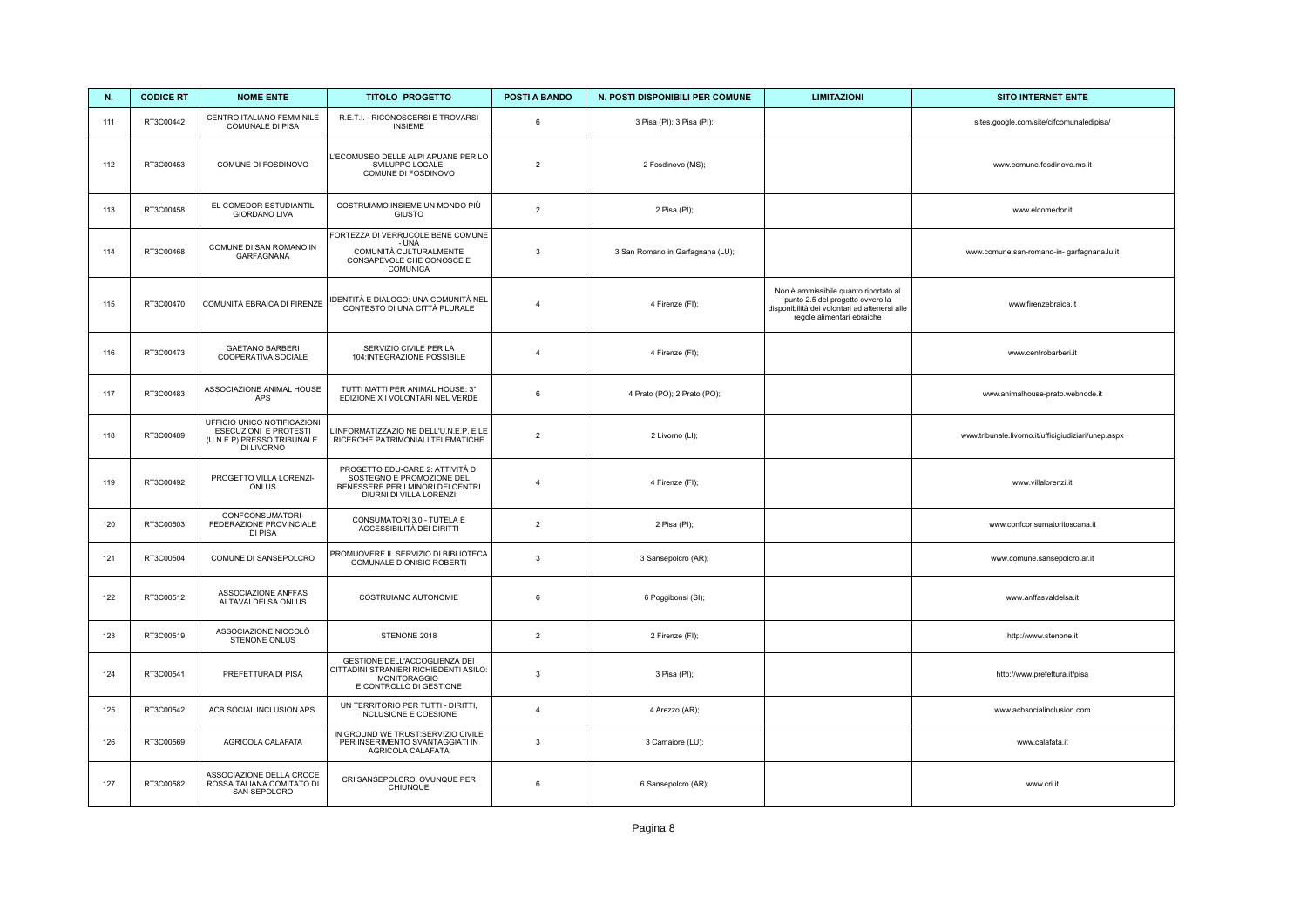| N.  | <b>CODICE RT</b> | <b>NOME ENTE</b>                                                                                 | <b>TITOLO PROGETTO</b>                                                                                                        | POSTI A BANDO  | N. POSTI DISPONIBILI PER COMUNE  | <b>LIMITAZIONI</b>                                                                                                                                       | <b>SITO INTERNET ENTE</b>                           |
|-----|------------------|--------------------------------------------------------------------------------------------------|-------------------------------------------------------------------------------------------------------------------------------|----------------|----------------------------------|----------------------------------------------------------------------------------------------------------------------------------------------------------|-----------------------------------------------------|
| 111 | RT3C00442        | CENTRO ITALIANO FEMMINILE<br>COMUNALE DI PISA                                                    | R.E.T.I. - RICONOSCERSI E TROVARSI<br><b>INSIEME</b>                                                                          | $\,6\,$        | 3 Pisa (PI); 3 Pisa (PI);        |                                                                                                                                                          | sites.google.com/site/cifcomunaledipisa/            |
| 112 | RT3C00453        | COMUNE DI FOSDINOVO                                                                              | L'ECOMUSEO DELLE ALPI APUANE PER LO<br>SVILUPPO LOCALE.<br>COMUNE DI FOSDINOVO                                                | $\overline{2}$ | 2 Fosdinovo (MS);                |                                                                                                                                                          | www.comune.fosdinovo.ms.it                          |
| 113 | RT3C00458        | EL COMEDOR ESTUDIANTIL<br><b>GIORDANO LIVA</b>                                                   | COSTRUIAMO INSIEME UN MONDO PIÙ<br><b>GIUSTO</b>                                                                              | $\overline{2}$ | 2 Pisa (PI);                     |                                                                                                                                                          | www.elcomedor.it                                    |
| 114 | RT3C00468        | COMUNE DI SAN ROMANO IN<br>GARFAGNANA                                                            | FORTEZZA DI VERRUCOLE BENE COMUNE<br>- UNA<br>COMUNITÀ CULTURALMENTE<br>CONSAPEVOLE CHE CONOSCE E<br><b>COMUNICA</b>          | $\mathbf{3}$   | 3 San Romano in Garfagnana (LU); |                                                                                                                                                          | www.comune.san-romano-in- garfagnana.lu.it          |
| 115 | RT3C00470        | COMUNITÀ EBRAICA DI FIRENZE                                                                      | IDENTITÀ E DIALOGO: UNA COMUNITÀ NEL<br>CONTESTO DI UNA CITTÀ PLURALE                                                         | $\overline{4}$ | 4 Firenze (FI);                  | Non è ammissibile quanto riportato al<br>punto 2.5 del progetto ovvero la<br>disponibilità dei volontari ad attenersi alle<br>regole alimentari ebraiche | www.firenzebraica.it                                |
| 116 | RT3C00473        | <b>GAETANO BARBERI</b><br>COOPERATIVA SOCIALE                                                    | SERVIZIO CIVILE PER LA<br>104:INTEGRAZIONE POSSIBILE                                                                          | $\overline{4}$ | 4 Firenze (FI);                  |                                                                                                                                                          | www.centrobarberi.it                                |
| 117 | RT3C00483        | ASSOCIAZIONE ANIMAL HOUSE<br>APS                                                                 | TUTTI MATTI PER ANIMAL HOUSE: 3°<br>EDIZIONE X I VOLONTARI NEL VERDE                                                          | 6              | 4 Prato (PO); 2 Prato (PO);      |                                                                                                                                                          | www.animalhouse-prato.webnode.it                    |
| 118 | RT3C00489        | UFFICIO UNICO NOTIFICAZIONI<br>ESECUZIONI E PROTESTI<br>(U.N.E.P) PRESSO TRIBUNALE<br>DI LIVORNO | L'INFORMATIZZAZIO NE DELL'U.N.E.P. E LE<br>RICERCHE PATRIMONIALI TELEMATICHE                                                  | $\overline{2}$ | 2 Livorno (LI);                  |                                                                                                                                                          | www.tribunale.livorno.it/ufficigiudiziari/unep.aspx |
| 119 | RT3C00492        | PROGETTO VILLA LORENZI-<br>ONLUS                                                                 | PROGETTO EDU-CARE 2: ATTIVITÀ DI<br>SOSTEGNO E PROMOZIONE DEL<br>BENESSERE PER I MINORI DEI CENTRI<br>DIURNI DI VILLA LORENZI | $\overline{4}$ | 4 Firenze (FI);                  |                                                                                                                                                          | www.villalorenzi.it                                 |
| 120 | RT3C00503        | CONFCONSUMATORI-<br>FEDERAZIONE PROVINCIALE<br>DI PISA                                           | CONSUMATORI 3.0 - TUTELA E<br>ACCESSIBILITÀ DEI DIRITTI                                                                       | $\overline{2}$ | 2 Pisa (PI);                     |                                                                                                                                                          | www.confconsumatoritoscana.it                       |
| 121 | RT3C00504        | COMUNE DI SANSEPOLCRO                                                                            | PROMUOVERE IL SERVIZIO DI BIBLIOTECA<br>COMUNALE DIONISIO ROBERTI                                                             | $\mathbf{3}$   | 3 Sansepolcro (AR);              |                                                                                                                                                          | www.comune.sansepolcro.ar.it                        |
| 122 | RT3C00512        | ASSOCIAZIONE ANFFAS<br>ALTAVALDELSA ONLUS                                                        | COSTRUIAMO AUTONOMIE                                                                                                          | 6              | 6 Poggibonsi (SI);               |                                                                                                                                                          | www.anffasvaldelsa.it                               |
| 123 | RT3C00519        | ASSOCIAZIONE NICCOLÒ<br><b>STENONE ONLUS</b>                                                     | STENONE 2018                                                                                                                  | $\overline{2}$ | 2 Firenze (FI);                  |                                                                                                                                                          | http://www.stenone.it                               |
| 124 | RT3C00541        | PREFETTURA DI PISA                                                                               | GESTIONE DELL'ACCOGLIENZA DEI<br>CITTADINI STRANIERI RICHIEDENTI ASILO:<br><b>MONITORAGGIO</b><br>E CONTROLLO DI GESTIONE     | $\overline{3}$ | 3 Pisa (PI);                     |                                                                                                                                                          | http://www.prefettura.it/pisa                       |
| 125 | RT3C00542        | ACB SOCIAL INCLUSION APS                                                                         | UN TERRITORIO PER TUTTI - DIRITTI.<br>INCLUSIONE E COESIONE                                                                   | $\overline{4}$ | 4 Arezzo (AR);                   |                                                                                                                                                          | www.acbsocialinclusion.com                          |
| 126 | RT3C00569        | AGRICOLA CALAFATA                                                                                | IN GROUND WE TRUST:SERVIZIO CIVILE<br>PER INSERIMENTO SVANTAGGIATI IN<br>AGRICOLA CALAFATA                                    | $\mathbf{3}$   | 3 Camaiore (LU);                 |                                                                                                                                                          | www.calafata.it                                     |
| 127 | RT3C00582        | ASSOCIAZIONE DELLA CROCE<br>ROSSA TALIANA COMITATO DI<br>SAN SEPOLCRO                            | CRI SANSEPOLCRO, OVUNQUE PER<br><b>CHIUNQUE</b>                                                                               | $\,6\,$        | 6 Sansepolcro (AR);              |                                                                                                                                                          | www.cri.it                                          |